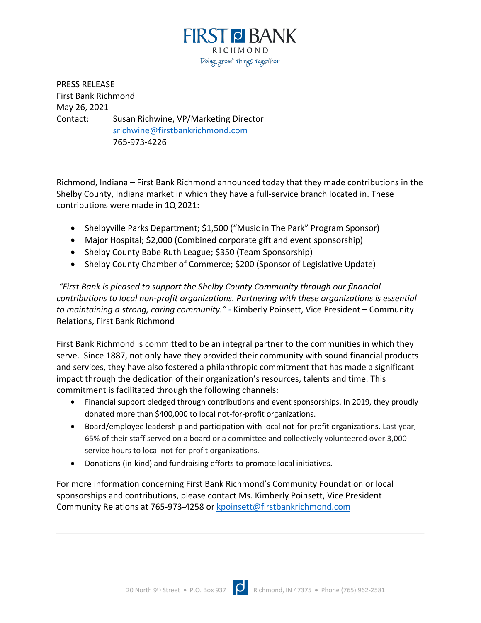

PRESS RELEASE First Bank Richmond May 26, 2021 Contact: Susan Richwine, VP/Marketing Director srichwine@firstbankrichmond.com 765-973-4226

Richmond, Indiana – First Bank Richmond announced today that they made contributions in the Shelby County, Indiana market in which they have a full-service branch located in. These contributions were made in 1Q 2021:

- Shelbyville Parks Department; \$1,500 ("Music in The Park" Program Sponsor)
- Major Hospital; \$2,000 (Combined corporate gift and event sponsorship)
- Shelby County Babe Ruth League; \$350 (Team Sponsorship)
- Shelby County Chamber of Commerce; \$200 (Sponsor of Legislative Update)

*"First Bank is pleased to support the Shelby County Community through our financial contributions to local non-profit organizations. Partnering with these organizations is essential to maintaining a strong, caring community." -* Kimberly Poinsett, Vice President – Community Relations, First Bank Richmond

First Bank Richmond is committed to be an integral partner to the communities in which they serve. Since 1887, not only have they provided their community with sound financial products and services, they have also fostered a philanthropic commitment that has made a significant impact through the dedication of their organization's resources, talents and time. This commitment is facilitated through the following channels:

- Financial support pledged through contributions and event sponsorships. In 2019, they proudly donated more than \$400,000 to local not-for-profit organizations.
- Board/employee leadership and participation with local not-for-profit organizations. Last year, 65% of their staff served on a board or a committee and collectively volunteered over 3,000 service hours to local not-for-profit organizations.
- Donations (in-kind) and fundraising efforts to promote local initiatives.

For more information concerning First Bank Richmond's Community Foundation or local sponsorships and contributions, please contact Ms. Kimberly Poinsett, Vice President Community Relations at 765-973-4258 or kpoinsett@firstbankrichmond.com